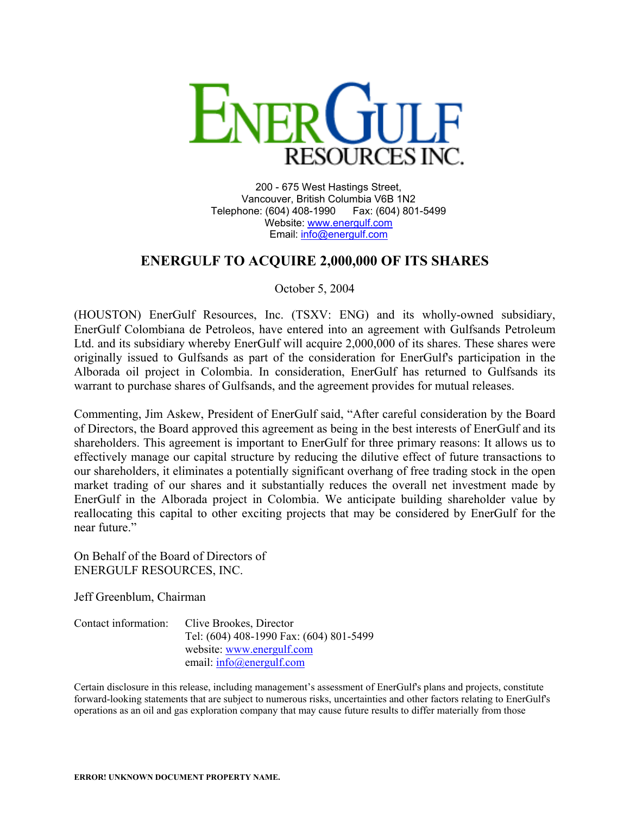

200 - 675 West Hastings Street, Vancouver, British Columbia V6B 1N2 Telephone: (604) 408-1990 Fax: (604) 801-5499 Website: [www.energulf.com](http://www.energulf.com/) Email: [info@energulf.com](mailto:info@energulf.com)

## **ENERGULF TO ACQUIRE 2,000,000 OF ITS SHARES**

October 5, 2004

(HOUSTON) EnerGulf Resources, Inc. (TSXV: ENG) and its wholly-owned subsidiary, EnerGulf Colombiana de Petroleos, have entered into an agreement with Gulfsands Petroleum Ltd. and its subsidiary whereby EnerGulf will acquire 2,000,000 of its shares. These shares were originally issued to Gulfsands as part of the consideration for EnerGulf's participation in the Alborada oil project in Colombia. In consideration, EnerGulf has returned to Gulfsands its warrant to purchase shares of Gulfsands, and the agreement provides for mutual releases.

Commenting, Jim Askew, President of EnerGulf said, "After careful consideration by the Board of Directors, the Board approved this agreement as being in the best interests of EnerGulf and its shareholders. This agreement is important to EnerGulf for three primary reasons: It allows us to effectively manage our capital structure by reducing the dilutive effect of future transactions to our shareholders, it eliminates a potentially significant overhang of free trading stock in the open market trading of our shares and it substantially reduces the overall net investment made by EnerGulf in the Alborada project in Colombia. We anticipate building shareholder value by reallocating this capital to other exciting projects that may be considered by EnerGulf for the near future."

On Behalf of the Board of Directors of ENERGULF RESOURCES, INC.

Jeff Greenblum, Chairman

| Contact information: | Clive Brookes, Director                 |
|----------------------|-----------------------------------------|
|                      | Tel: (604) 408-1990 Fax: (604) 801-5499 |
|                      | website: www.energulf.com               |
|                      | email: $info(\omega)$ energulf.com      |

Certain disclosure in this release, including management's assessment of EnerGulf's plans and projects, constitute forward-looking statements that are subject to numerous risks, uncertainties and other factors relating to EnerGulf's operations as an oil and gas exploration company that may cause future results to differ materially from those